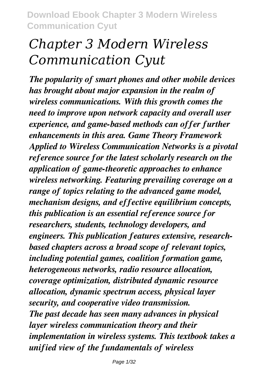# *Chapter 3 Modern Wireless Communication Cyut*

*The popularity of smart phones and other mobile devices has brought about major expansion in the realm of wireless communications. With this growth comes the need to improve upon network capacity and overall user experience, and game-based methods can offer further enhancements in this area. Game Theory Framework Applied to Wireless Communication Networks is a pivotal reference source for the latest scholarly research on the application of game-theoretic approaches to enhance wireless networking. Featuring prevailing coverage on a range of topics relating to the advanced game model, mechanism designs, and effective equilibrium concepts, this publication is an essential reference source for researchers, students, technology developers, and engineers. This publication features extensive, researchbased chapters across a broad scope of relevant topics, including potential games, coalition formation game, heterogeneous networks, radio resource allocation, coverage optimization, distributed dynamic resource allocation, dynamic spectrum access, physical layer security, and cooperative video transmission. The past decade has seen many advances in physical layer wireless communication theory and their implementation in wireless systems. This textbook takes a unified view of the fundamentals of wireless*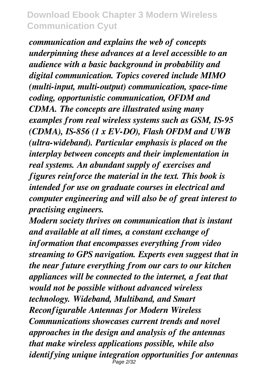*communication and explains the web of concepts underpinning these advances at a level accessible to an audience with a basic background in probability and digital communication. Topics covered include MIMO (multi-input, multi-output) communication, space-time coding, opportunistic communication, OFDM and CDMA. The concepts are illustrated using many examples from real wireless systems such as GSM, IS-95 (CDMA), IS-856 (1 x EV-DO), Flash OFDM and UWB (ultra-wideband). Particular emphasis is placed on the interplay between concepts and their implementation in real systems. An abundant supply of exercises and figures reinforce the material in the text. This book is intended for use on graduate courses in electrical and computer engineering and will also be of great interest to practising engineers.*

*Modern society thrives on communication that is instant and available at all times, a constant exchange of information that encompasses everything from video streaming to GPS navigation. Experts even suggest that in the near future everything from our cars to our kitchen appliances will be connected to the internet, a feat that would not be possible without advanced wireless technology. Wideband, Multiband, and Smart Reconfigurable Antennas for Modern Wireless Communications showcases current trends and novel approaches in the design and analysis of the antennas that make wireless applications possible, while also identifying unique integration opportunities for antennas* Page 2/32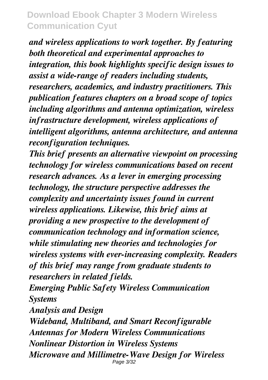*and wireless applications to work together. By featuring both theoretical and experimental approaches to integration, this book highlights specific design issues to assist a wide-range of readers including students, researchers, academics, and industry practitioners. This publication features chapters on a broad scope of topics including algorithms and antenna optimization, wireless infrastructure development, wireless applications of intelligent algorithms, antenna architecture, and antenna reconfiguration techniques.*

*This brief presents an alternative viewpoint on processing technology for wireless communications based on recent research advances. As a lever in emerging processing technology, the structure perspective addresses the complexity and uncertainty issues found in current wireless applications. Likewise, this brief aims at providing a new prospective to the development of communication technology and information science, while stimulating new theories and technologies for wireless systems with ever-increasing complexity. Readers of this brief may range from graduate students to researchers in related fields.*

*Emerging Public Safety Wireless Communication Systems*

*Analysis and Design Wideband, Multiband, and Smart Reconfigurable Antennas for Modern Wireless Communications Nonlinear Distortion in Wireless Systems Microwave and Millimetre-Wave Design for Wireless* Page 3/32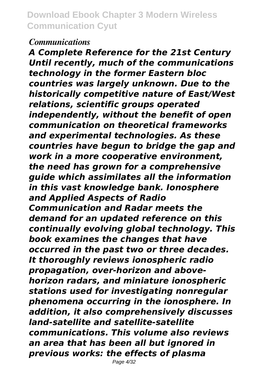#### *Communications*

*A Complete Reference for the 21st Century Until recently, much of the communications technology in the former Eastern bloc countries was largely unknown. Due to the historically competitive nature of East/West relations, scientific groups operated independently, without the benefit of open communication on theoretical frameworks and experimental technologies. As these countries have begun to bridge the gap and work in a more cooperative environment, the need has grown for a comprehensive guide which assimilates all the information in this vast knowledge bank. Ionosphere and Applied Aspects of Radio Communication and Radar meets the demand for an updated reference on this continually evolving global technology. This book examines the changes that have occurred in the past two or three decades. It thoroughly reviews ionospheric radio propagation, over-horizon and abovehorizon radars, and miniature ionospheric stations used for investigating nonregular phenomena occurring in the ionosphere. In addition, it also comprehensively discusses land-satellite and satellite-satellite communications. This volume also reviews an area that has been all but ignored in previous works: the effects of plasma*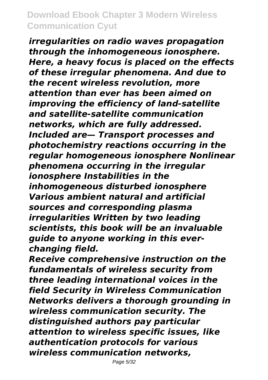*irregularities on radio waves propagation through the inhomogeneous ionosphere. Here, a heavy focus is placed on the effects of these irregular phenomena. And due to the recent wireless revolution, more attention than ever has been aimed on improving the efficiency of land-satellite and satellite-satellite communication networks, which are fully addressed. Included are— Transport processes and photochemistry reactions occurring in the regular homogeneous ionosphere Nonlinear phenomena occurring in the irregular ionosphere Instabilities in the inhomogeneous disturbed ionosphere Various ambient natural and artificial sources and corresponding plasma irregularities Written by two leading scientists, this book will be an invaluable guide to anyone working in this everchanging field.*

*Receive comprehensive instruction on the fundamentals of wireless security from three leading international voices in the field Security in Wireless Communication Networks delivers a thorough grounding in wireless communication security. The distinguished authors pay particular attention to wireless specific issues, like authentication protocols for various wireless communication networks,*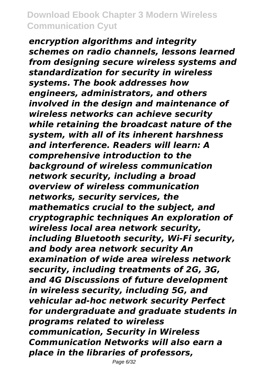*encryption algorithms and integrity schemes on radio channels, lessons learned from designing secure wireless systems and standardization for security in wireless systems. The book addresses how engineers, administrators, and others involved in the design and maintenance of wireless networks can achieve security while retaining the broadcast nature of the system, with all of its inherent harshness and interference. Readers will learn: A comprehensive introduction to the background of wireless communication network security, including a broad overview of wireless communication networks, security services, the mathematics crucial to the subject, and cryptographic techniques An exploration of wireless local area network security, including Bluetooth security, Wi-Fi security, and body area network security An examination of wide area wireless network security, including treatments of 2G, 3G, and 4G Discussions of future development in wireless security, including 5G, and vehicular ad-hoc network security Perfect for undergraduate and graduate students in programs related to wireless communication, Security in Wireless Communication Networks will also earn a place in the libraries of professors,*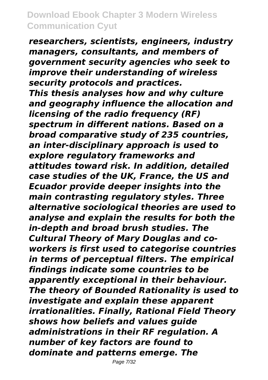*researchers, scientists, engineers, industry managers, consultants, and members of government security agencies who seek to improve their understanding of wireless security protocols and practices. This thesis analyses how and why culture and geography influence the allocation and licensing of the radio frequency (RF) spectrum in different nations. Based on a broad comparative study of 235 countries, an inter-disciplinary approach is used to explore regulatory frameworks and attitudes toward risk. In addition, detailed case studies of the UK, France, the US and Ecuador provide deeper insights into the main contrasting regulatory styles. Three alternative sociological theories are used to analyse and explain the results for both the in-depth and broad brush studies. The Cultural Theory of Mary Douglas and coworkers is first used to categorise countries in terms of perceptual filters. The empirical findings indicate some countries to be apparently exceptional in their behaviour. The theory of Bounded Rationality is used to investigate and explain these apparent irrationalities. Finally, Rational Field Theory shows how beliefs and values guide administrations in their RF regulation. A number of key factors are found to dominate and patterns emerge. The*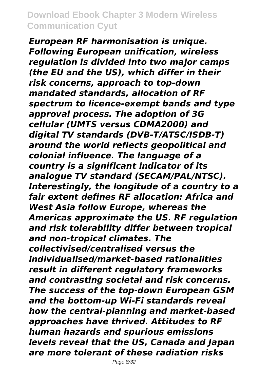*European RF harmonisation is unique. Following European unification, wireless regulation is divided into two major camps (the EU and the US), which differ in their risk concerns, approach to top-down mandated standards, allocation of RF spectrum to licence-exempt bands and type approval process. The adoption of 3G cellular (UMTS versus CDMA2000) and digital TV standards (DVB-T/ATSC/ISDB-T) around the world reflects geopolitical and colonial influence. The language of a country is a significant indicator of its analogue TV standard (SECAM/PAL/NTSC). Interestingly, the longitude of a country to a fair extent defines RF allocation: Africa and West Asia follow Europe, whereas the Americas approximate the US. RF regulation and risk tolerability differ between tropical and non-tropical climates. The collectivised/centralised versus the individualised/market-based rationalities result in different regulatory frameworks and contrasting societal and risk concerns. The success of the top-down European GSM and the bottom-up Wi-Fi standards reveal how the central-planning and market-based approaches have thrived. Attitudes to RF human hazards and spurious emissions levels reveal that the US, Canada and Japan are more tolerant of these radiation risks*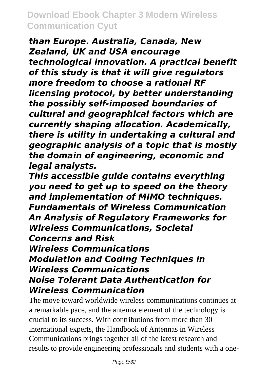*than Europe. Australia, Canada, New Zealand, UK and USA encourage technological innovation. A practical benefit of this study is that it will give regulators more freedom to choose a rational RF licensing protocol, by better understanding the possibly self-imposed boundaries of cultural and geographical factors which are currently shaping allocation. Academically, there is utility in undertaking a cultural and geographic analysis of a topic that is mostly the domain of engineering, economic and legal analysts.*

*This accessible guide contains everything you need to get up to speed on the theory and implementation of MIMO techniques. Fundamentals of Wireless Communication An Analysis of Regulatory Frameworks for Wireless Communications, Societal Concerns and Risk Wireless Communications Modulation and Coding Techniques in Wireless Communications Noise Tolerant Data Authentication for Wireless Communication*

The move toward worldwide wireless communications continues at a remarkable pace, and the antenna element of the technology is crucial to its success. With contributions from more than 30 international experts, the Handbook of Antennas in Wireless Communications brings together all of the latest research and results to provide engineering professionals and students with a one-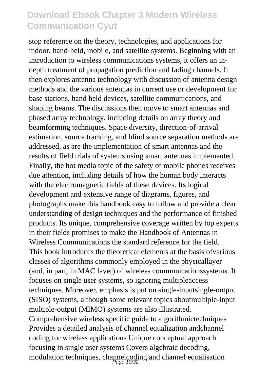stop reference on the theory, technologies, and applications for indoor, hand-held, mobile, and satellite systems. Beginning with an introduction to wireless communications systems, it offers an indepth treatment of propagation prediction and fading channels. It then explores antenna technology with discussion of antenna design methods and the various antennas in current use or development for base stations, hand held devices, satellite communications, and shaping beams. The discussions then move to smart antennas and phased array technology, including details on array theory and beamforming techniques. Space diversity, direction-of-arrival estimation, source tracking, and blind source separation methods are addressed, as are the implementation of smart antennas and the results of field trials of systems using smart antennas implemented. Finally, the hot media topic of the safety of mobile phones receives due attention, including details of how the human body interacts with the electromagnetic fields of these devices. Its logical development and extensive range of diagrams, figures, and photographs make this handbook easy to follow and provide a clear understanding of design techniques and the performance of finished products. Its unique, comprehensive coverage written by top experts in their fields promises to make the Handbook of Antennas in Wireless Communications the standard reference for the field. This book introduces the theoretical elements at the basis ofvarious classes of algorithms commonly employed in the physicallayer (and, in part, in MAC layer) of wireless communicationssystems. It focuses on single user systems, so ignoring multipleaccess techniques. Moreover, emphasis is put on single-inputsingle-output (SISO) systems, although some relevant topics aboutmultiple-input multiple-output (MIMO) systems are also illustrated. Comprehensive wireless specific guide to algorithmictechniques Provides a detailed analysis of channel equalization andchannel coding for wireless applications Unique conceptual approach focusing in single user systems Covers algebraic decoding, modulation techniques, channelcoding and channel equalisation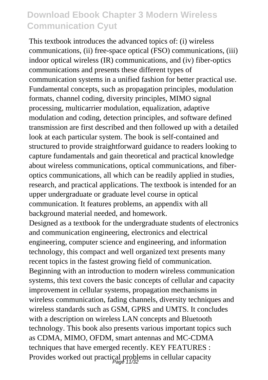This textbook introduces the advanced topics of: (i) wireless communications, (ii) free-space optical (FSO) communications, (iii) indoor optical wireless (IR) communications, and (iv) fiber-optics communications and presents these different types of communication systems in a unified fashion for better practical use. Fundamental concepts, such as propagation principles, modulation formats, channel coding, diversity principles, MIMO signal processing, multicarrier modulation, equalization, adaptive modulation and coding, detection principles, and software defined transmission are first described and then followed up with a detailed look at each particular system. The book is self-contained and structured to provide straightforward guidance to readers looking to capture fundamentals and gain theoretical and practical knowledge about wireless communications, optical communications, and fiberoptics communications, all which can be readily applied in studies, research, and practical applications. The textbook is intended for an upper undergraduate or graduate level course in optical communication. It features problems, an appendix with all background material needed, and homework.

Designed as a textbook for the undergraduate students of electronics and communication engineering, electronics and electrical engineering, computer science and engineering, and information technology, this compact and well organized text presents many recent topics in the fastest growing field of communication. Beginning with an introduction to modern wireless communication systems, this text covers the basic concepts of cellular and capacity improvement in cellular systems, propagation mechanisms in wireless communication, fading channels, diversity techniques and wireless standards such as GSM, GPRS and UMTS. It concludes with a description on wireless LAN concepts and Bluetooth technology. This book also presents various important topics such as CDMA, MIMO, OFDM, smart antennas and MC-CDMA techniques that have emerged recently. KEY FEATURES : Provides worked out practical problems in cellular capacity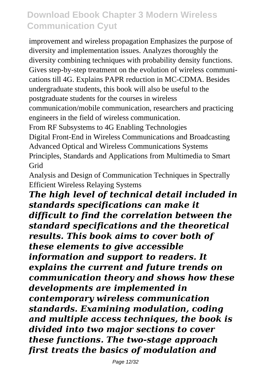improvement and wireless propagation Emphasizes the purpose of diversity and implementation issues. Analyzes thoroughly the diversity combining techniques with probability density functions. Gives step-by-step treatment on the evolution of wireless communications till 4G. Explains PAPR reduction in MC-CDMA. Besides undergraduate students, this book will also be useful to the postgraduate students for the courses in wireless communication/mobile communication, researchers and practicing engineers in the field of wireless communication. From RF Subsystems to 4G Enabling Technologies Digital Front-End in Wireless Communications and Broadcasting Advanced Optical and Wireless Communications Systems

Principles, Standards and Applications from Multimedia to Smart **Grid** 

Analysis and Design of Communication Techniques in Spectrally Efficient Wireless Relaying Systems

*The high level of technical detail included in standards specifications can make it difficult to find the correlation between the standard specifications and the theoretical results. This book aims to cover both of these elements to give accessible information and support to readers. It explains the current and future trends on communication theory and shows how these developments are implemented in contemporary wireless communication standards. Examining modulation, coding and multiple access techniques, the book is divided into two major sections to cover these functions. The two-stage approach first treats the basics of modulation and*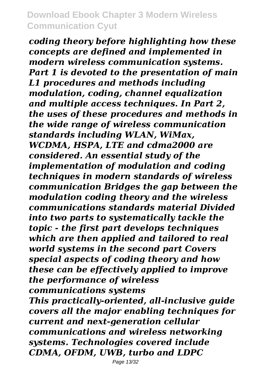*coding theory before highlighting how these concepts are defined and implemented in modern wireless communication systems. Part 1 is devoted to the presentation of main L1 procedures and methods including modulation, coding, channel equalization and multiple access techniques. In Part 2, the uses of these procedures and methods in the wide range of wireless communication standards including WLAN, WiMax, WCDMA, HSPA, LTE and cdma2000 are considered. An essential study of the implementation of modulation and coding techniques in modern standards of wireless communication Bridges the gap between the modulation coding theory and the wireless communications standards material Divided into two parts to systematically tackle the topic - the first part develops techniques which are then applied and tailored to real world systems in the second part Covers special aspects of coding theory and how these can be effectively applied to improve the performance of wireless communications systems This practically-oriented, all-inclusive guide covers all the major enabling techniques for current and next-generation cellular communications and wireless networking systems. Technologies covered include CDMA, OFDM, UWB, turbo and LDPC*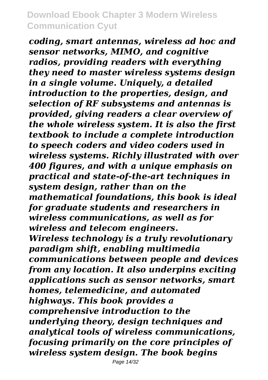*coding, smart antennas, wireless ad hoc and sensor networks, MIMO, and cognitive radios, providing readers with everything they need to master wireless systems design in a single volume. Uniquely, a detailed introduction to the properties, design, and selection of RF subsystems and antennas is provided, giving readers a clear overview of the whole wireless system. It is also the first textbook to include a complete introduction to speech coders and video coders used in wireless systems. Richly illustrated with over 400 figures, and with a unique emphasis on practical and state-of-the-art techniques in system design, rather than on the mathematical foundations, this book is ideal for graduate students and researchers in wireless communications, as well as for wireless and telecom engineers. Wireless technology is a truly revolutionary paradigm shift, enabling multimedia communications between people and devices from any location. It also underpins exciting applications such as sensor networks, smart homes, telemedicine, and automated highways. This book provides a comprehensive introduction to the underlying theory, design techniques and analytical tools of wireless communications, focusing primarily on the core principles of wireless system design. The book begins*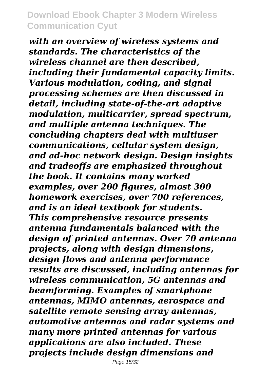*with an overview of wireless systems and standards. The characteristics of the wireless channel are then described, including their fundamental capacity limits. Various modulation, coding, and signal processing schemes are then discussed in detail, including state-of-the-art adaptive modulation, multicarrier, spread spectrum, and multiple antenna techniques. The concluding chapters deal with multiuser communications, cellular system design, and ad-hoc network design. Design insights and tradeoffs are emphasized throughout the book. It contains many worked examples, over 200 figures, almost 300 homework exercises, over 700 references, and is an ideal textbook for students. This comprehensive resource presents antenna fundamentals balanced with the design of printed antennas. Over 70 antenna projects, along with design dimensions, design flows and antenna performance results are discussed, including antennas for wireless communication, 5G antennas and beamforming. Examples of smartphone antennas, MIMO antennas, aerospace and satellite remote sensing array antennas, automotive antennas and radar systems and many more printed antennas for various applications are also included. These projects include design dimensions and*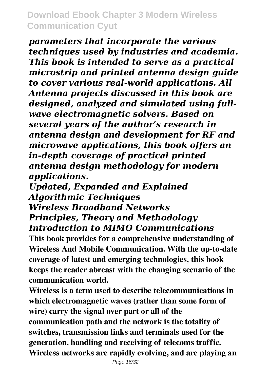*parameters that incorporate the various techniques used by industries and academia. This book is intended to serve as a practical microstrip and printed antenna design guide to cover various real-world applications. All Antenna projects discussed in this book are designed, analyzed and simulated using fullwave electromagnetic solvers. Based on several years of the author's research in antenna design and development for RF and microwave applications, this book offers an in-depth coverage of practical printed antenna design methodology for modern applications.*

#### *Updated, Expanded and Explained Algorithmic Techniques Wireless Broadband Networks Principles, Theory and Methodology Introduction to MIMO Communications*

**This book provides for a comprehensive understanding of Wireless And Mobile Communication. With the up-to-date coverage of latest and emerging technologies, this book keeps the reader abreast with the changing scenario of the communication world.**

**Wireless is a term used to describe telecommunications in which electromagnetic waves (rather than some form of wire) carry the signal over part or all of the communication path and the network is the totality of switches, transmission links and terminals used for the generation, handling and receiving of telecoms traffic. Wireless networks are rapidly evolving, and are playing an**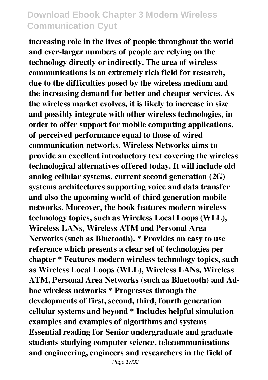**increasing role in the lives of people throughout the world and ever-larger numbers of people are relying on the technology directly or indirectly. The area of wireless communications is an extremely rich field for research, due to the difficulties posed by the wireless medium and the increasing demand for better and cheaper services. As the wireless market evolves, it is likely to increase in size and possibly integrate with other wireless technologies, in order to offer support for mobile computing applications, of perceived performance equal to those of wired communication networks. Wireless Networks aims to provide an excellent introductory text covering the wireless technological alternatives offered today. It will include old analog cellular systems, current second generation (2G) systems architectures supporting voice and data transfer and also the upcoming world of third generation mobile networks. Moreover, the book features modern wireless technology topics, such as Wireless Local Loops (WLL), Wireless LANs, Wireless ATM and Personal Area Networks (such as Bluetooth). \* Provides an easy to use reference which presents a clear set of technologies per chapter \* Features modern wireless technology topics, such as Wireless Local Loops (WLL), Wireless LANs, Wireless ATM, Personal Area Networks (such as Bluetooth) and Adhoc wireless networks \* Progresses through the developments of first, second, third, fourth generation cellular systems and beyond \* Includes helpful simulation examples and examples of algorithms and systems Essential reading for Senior undergraduate and graduate students studying computer science, telecommunications and engineering, engineers and researchers in the field of**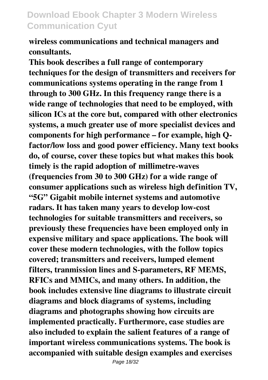**wireless communications and technical managers and consultants.**

**This book describes a full range of contemporary techniques for the design of transmitters and receivers for communications systems operating in the range from 1 through to 300 GHz. In this frequency range there is a wide range of technologies that need to be employed, with silicon ICs at the core but, compared with other electronics systems, a much greater use of more specialist devices and components for high performance – for example, high Qfactor/low loss and good power efficiency. Many text books do, of course, cover these topics but what makes this book timely is the rapid adoption of millimetre-waves (frequencies from 30 to 300 GHz) for a wide range of consumer applications such as wireless high definition TV, "5G" Gigabit mobile internet systems and automotive radars. It has taken many years to develop low-cost technologies for suitable transmitters and receivers, so previously these frequencies have been employed only in expensive military and space applications. The book will cover these modern technologies, with the follow topics covered; transmitters and receivers, lumped element filters, tranmission lines and S-parameters, RF MEMS, RFICs and MMICs, and many others. In addition, the book includes extensive line diagrams to illustrate circuit diagrams and block diagrams of systems, including diagrams and photographs showing how circuits are implemented practically. Furthermore, case studies are also included to explain the salient features of a range of important wireless communications systems. The book is accompanied with suitable design examples and exercises**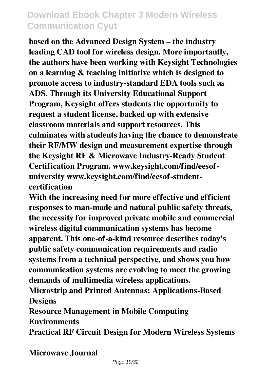**based on the Advanced Design System – the industry leading CAD tool for wireless design. More importantly, the authors have been working with Keysight Technologies on a learning & teaching initiative which is designed to promote access to industry-standard EDA tools such as ADS. Through its University Educational Support Program, Keysight offers students the opportunity to request a student license, backed up with extensive classroom materials and support resources. This culminates with students having the chance to demonstrate their RF/MW design and measurement expertise through the Keysight RF & Microwave Industry-Ready Student Certification Program. www.keysight.com/find/eesofuniversity www.keysight.com/find/eesof-studentcertification**

**With the increasing need for more effective and efficient responses to man-made and natural public safety threats, the necessity for improved private mobile and commercial wireless digital communication systems has become apparent. This one-of-a-kind resource describes today's public safety communication requirements and radio systems from a technical perspective, and shows you how communication systems are evolving to meet the growing demands of multimedia wireless applications.**

**Microstrip and Printed Antennas: Applications-Based Designs**

**Resource Management in Mobile Computing**

**Environments**

**Practical RF Circuit Design for Modern Wireless Systems**

**Microwave Journal**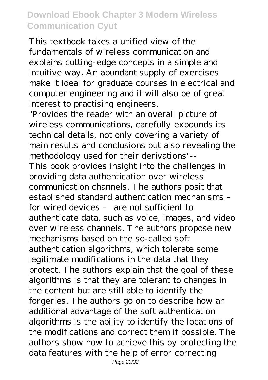This textbook takes a unified view of the fundamentals of wireless communication and explains cutting-edge concepts in a simple and intuitive way. An abundant supply of exercises make it ideal for graduate courses in electrical and computer engineering and it will also be of great interest to practising engineers.

"Provides the reader with an overall picture of wireless communications, carefully expounds its technical details, not only covering a variety of main results and conclusions but also revealing the methodology used for their derivations"-- This book provides insight into the challenges in providing data authentication over wireless communication channels. The authors posit that established standard authentication mechanisms – for wired devices – are not sufficient to authenticate data, such as voice, images, and video over wireless channels. The authors propose new mechanisms based on the so-called soft authentication algorithms, which tolerate some legitimate modifications in the data that they protect. The authors explain that the goal of these algorithms is that they are tolerant to changes in the content but are still able to identify the forgeries. The authors go on to describe how an additional advantage of the soft authentication algorithms is the ability to identify the locations of the modifications and correct them if possible. The authors show how to achieve this by protecting the data features with the help of error correcting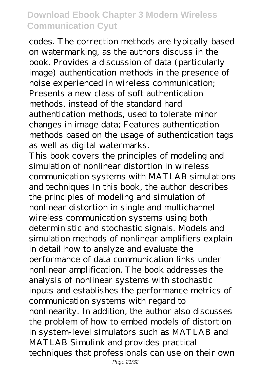codes. The correction methods are typically based on watermarking, as the authors discuss in the book. Provides a discussion of data (particularly image) authentication methods in the presence of noise experienced in wireless communication; Presents a new class of soft authentication methods, instead of the standard hard authentication methods, used to tolerate minor changes in image data; Features authentication methods based on the usage of authentication tags as well as digital watermarks.

This book covers the principles of modeling and simulation of nonlinear distortion in wireless communication systems with MATLAB simulations and techniques In this book, the author describes the principles of modeling and simulation of nonlinear distortion in single and multichannel wireless communication systems using both deterministic and stochastic signals. Models and simulation methods of nonlinear amplifiers explain in detail how to analyze and evaluate the performance of data communication links under nonlinear amplification. The book addresses the analysis of nonlinear systems with stochastic inputs and establishes the performance metrics of communication systems with regard to nonlinearity. In addition, the author also discusses the problem of how to embed models of distortion in system-level simulators such as MATLAB and MATLAB Simulink and provides practical techniques that professionals can use on their own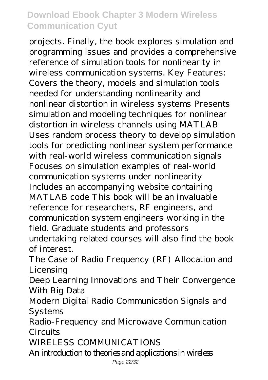projects. Finally, the book explores simulation and programming issues and provides a comprehensive reference of simulation tools for nonlinearity in wireless communication systems. Key Features: Covers the theory, models and simulation tools needed for understanding nonlinearity and nonlinear distortion in wireless systems Presents simulation and modeling techniques for nonlinear distortion in wireless channels using MATLAB Uses random process theory to develop simulation tools for predicting nonlinear system performance with real-world wireless communication signals Focuses on simulation examples of real-world communication systems under nonlinearity Includes an accompanying website containing MATLAB code This book will be an invaluable reference for researchers, RF engineers, and communication system engineers working in the field. Graduate students and professors undertaking related courses will also find the book of interest.

The Case of Radio Frequency (RF) Allocation and Licensing

Deep Learning Innovations and Their Convergence With Big Data

Modern Digital Radio Communication Signals and Systems

Radio-Frequency and Microwave Communication Circuits

WIRELESS COMMUNICATIONS

An introduction to theories and applications in wireless

Page 22/32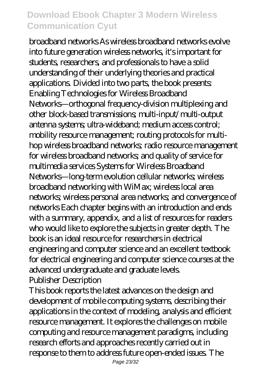broadband networks As wireless broadband networks evolve into future generation wireless networks, it's important for students, researchers, and professionals to have a solid understanding of their underlying theories and practical applications. Divided into two parts, the book presents: Enabling Technologies for Wireless Broadband Networks—orthogonal frequency-division multiplexing and other block-based transmissions; multi-input/multi-output antenna systems; ultra-wideband; medium access control; mobility resource management; routing protocols for multihop wireless broadband networks; radio resource management for wireless broadband networks; and quality of service for multimedia services Systems for Wireless Broadband Networks—long-term evolution cellular networks; wireless broadband networking with WiMax; wireless local area networks; wireless personal area networks; and convergence of networks Each chapter begins with an introduction and ends with a summary, appendix, and a list of resources for readers who would like to explore the subjects in greater depth. The book is an ideal resource for researchers in electrical engineering and computer science and an excellent textbook for electrical engineering and computer science courses at the advanced undergraduate and graduate levels. Publisher Description

This book reports the latest advances on the design and development of mobile computing systems, describing their applications in the context of modeling, analysis and efficient resource management. It explores the challenges on mobile computing and resource management paradigms, including research efforts and approaches recently carried out in response to them to address future open-ended issues. The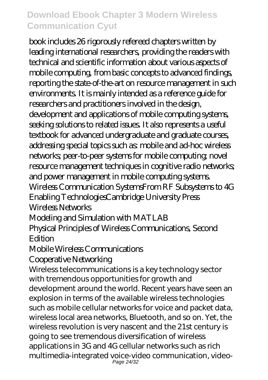book includes 26 rigorously refereed chapters written by leading international researchers, providing the readers with technical and scientific information about various aspects of mobile computing, from basic concepts to advanced findings, reporting the state-of-the-art on resource management in such environments. It is mainly intended as a reference guide for researchers and practitioners involved in the design, development and applications of mobile computing systems, seeking solutions to related issues. It also represents a useful textbook for advanced undergraduate and graduate courses, addressing special topics such as: mobile and ad-hoc wireless networks; peer-to-peer systems for mobile computing; novel resource management techniques in cognitive radio networks; and power management in mobile computing systems. Wireless Communication SystemsFrom RF Subsystems to 4G Enabling TechnologiesCambridge University Press Wireless Networks

Modeling and Simulation with MATLAB Physical Principles of Wireless Communications, Second Edition

#### Mobile Wireless Communications

#### Cooperative Networking

Wireless telecommunications is a key technology sector with tremendous opportunities for growth and development around the world. Recent years have seen an explosion in terms of the available wireless technologies such as mobile cellular networks for voice and packet data, wireless local area networks, Bluetooth, and so on. Yet, the wireless revolution is very nascent and the 21st century is going to see tremendous diversification of wireless applications in 3G and 4G cellular networks such as rich multimedia-integrated voice-video communication, video-Page 24/32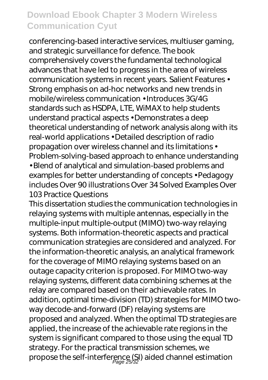conferencing-based interactive services, multiuser gaming, and strategic surveillance for defence. The book comprehensively covers the fundamental technological advances that have led to progress in the area of wireless communication systems in recent years. Salient Features • Strong emphasis on ad-hoc networks and new trends in mobile/wireless communication • Introduces 3G/4G standards such as HSDPA, LTE, WiMAX to help students understand practical aspects • Demonstrates a deep theoretical understanding of network analysis along with its real-world applications • Detailed description of radio propagation over wireless channel and its limitations • Problem-solving-based approach to enhance understanding • Blend of analytical and simulation-based problems and examples for better understanding of concepts • Pedagogy includes Over 90 illustrations Over 34 Solved Examples Over 103 Practice Questions

This dissertation studies the communication technologies in relaying systems with multiple antennas, especially in the multiple-input multiple-output (MIMO) two-way relaying systems. Both information-theoretic aspects and practical communication strategies are considered and analyzed. For the information-theoretic analysis, an analytical framework for the coverage of MIMO relaying systems based on an outage capacity criterion is proposed. For MIMO two-way relaying systems, different data combining schemes at the relay are compared based on their achievable rates. In addition, optimal time-division (TD) strategies for MIMO twoway decode-and-forward (DF) relaying systems are proposed and analyzed. When the optimal TD strategies are applied, the increase of the achievable rate regions in the system is significant compared to those using the equal TD strategy. For the practical transmission schemes, we propose the self-interference (SI) aided channel estimation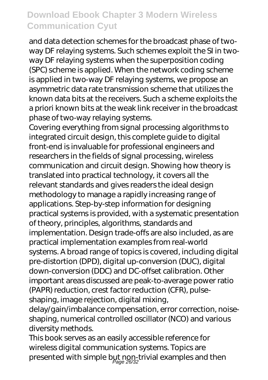and data detection schemes for the broadcast phase of twoway DF relaying systems. Such schemes exploit the SI in twoway DF relaying systems when the superposition coding (SPC) scheme is applied. When the network coding scheme is applied in two-way DF relaying systems, we propose an asymmetric data rate transmission scheme that utilizes the known data bits at the receivers. Such a scheme exploits the a priori known bits at the weak link receiver in the broadcast phase of two-way relaying systems.

Covering everything from signal processing algorithms to integrated circuit design, this complete guide to digital front-end is invaluable for professional engineers and researchers in the fields of signal processing, wireless communication and circuit design. Showing how theory is translated into practical technology, it covers all the relevant standards and gives readers the ideal design methodology to manage a rapidly increasing range of applications. Step-by-step information for designing practical systems is provided, with a systematic presentation of theory, principles, algorithms, standards and implementation. Design trade-offs are also included, as are practical implementation examples from real-world systems. A broad range of topics is covered, including digital pre-distortion (DPD), digital up-conversion (DUC), digital down-conversion (DDC) and DC-offset calibration. Other important areas discussed are peak-to-average power ratio (PAPR) reduction, crest factor reduction (CFR), pulseshaping, image rejection, digital mixing,

delay/gain/imbalance compensation, error correction, noiseshaping, numerical controlled oscillator (NCO) and various diversity methods.

This book serves as an easily accessible reference for wireless digital communication systems. Topics are presented with simple byt non-trivial examples and then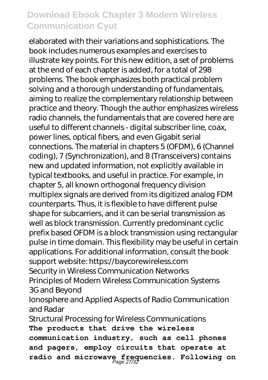elaborated with their variations and sophistications. The book includes numerous examples and exercises to illustrate key points. For this new edition, a set of problems at the end of each chapter is added, for a total of 298 problems. The book emphasizes both practical problem solving and a thorough understanding of fundamentals, aiming to realize the complementary relationship between practice and theory. Though the author emphasizes wireless radio channels, the fundamentals that are covered here are useful to different channels - digital subscriber line, coax, power lines, optical fibers, and even Gigabit serial connections. The material in chapters 5 (OFDM), 6 (Channel coding), 7 (Synchronization), and 8 (Transceivers) contains new and updated information, not explicitly available in typical textbooks, and useful in practice. For example, in chapter 5, all known orthogonal frequency division multiplex signals are derived from its digitized analog FDM counterparts. Thus, it is flexible to have different pulse shape for subcarriers, and it can be serial transmission as well as block transmission. Currently predominant cyclic prefix based OFDM is a block transmission using rectangular pulse in time domain. This flexibility may be useful in certain applications. For additional information, consult the book support website: https://baycorewireless.com Security in Wireless Communication Networks Principles of Modern Wireless Communication Systems 3G and Beyond

Ionosphere and Applied Aspects of Radio Communication and Radar

Structural Processing for Wireless Communications **The products that drive the wireless communication industry, such as cell phones and pagers, employ circuits that operate at radio and microwave frequencies. Following on** Page 27/32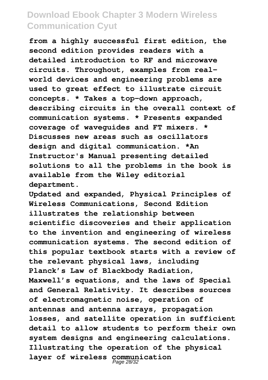**from a highly successful first edition, the second edition provides readers with a detailed introduction to RF and microwave circuits. Throughout, examples from realworld devices and engineering problems are used to great effect to illustrate circuit concepts. \* Takes a top-down approach, describing circuits in the overall context of communication systems. \* Presents expanded coverage of waveguides and FT mixers. \* Discusses new areas such as oscillators design and digital communication. \*An Instructor's Manual presenting detailed solutions to all the problems in the book is available from the Wiley editorial department.**

**Updated and expanded, Physical Principles of Wireless Communications, Second Edition illustrates the relationship between scientific discoveries and their application to the invention and engineering of wireless communication systems. The second edition of this popular textbook starts with a review of the relevant physical laws, including Planck's Law of Blackbody Radiation, Maxwell's equations, and the laws of Special and General Relativity. It describes sources of electromagnetic noise, operation of antennas and antenna arrays, propagation losses, and satellite operation in sufficient detail to allow students to perform their own system designs and engineering calculations. Illustrating the operation of the physical layer of wireless communication** Page 28/32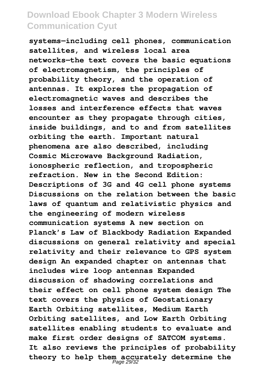**systems—including cell phones, communication satellites, and wireless local area networks—the text covers the basic equations of electromagnetism, the principles of probability theory, and the operation of antennas. It explores the propagation of electromagnetic waves and describes the losses and interference effects that waves encounter as they propagate through cities, inside buildings, and to and from satellites orbiting the earth. Important natural phenomena are also described, including Cosmic Microwave Background Radiation, ionospheric reflection, and tropospheric refraction. New in the Second Edition: Descriptions of 3G and 4G cell phone systems Discussions on the relation between the basic laws of quantum and relativistic physics and the engineering of modern wireless communication systems A new section on Planck's Law of Blackbody Radiation Expanded discussions on general relativity and special relativity and their relevance to GPS system design An expanded chapter on antennas that includes wire loop antennas Expanded discussion of shadowing correlations and their effect on cell phone system design The text covers the physics of Geostationary Earth Orbiting satellites, Medium Earth Orbiting satellites, and Low Earth Orbiting satellites enabling students to evaluate and make first order designs of SATCOM systems. It also reviews the principles of probability theory to help them accurately determine the** Page 29/32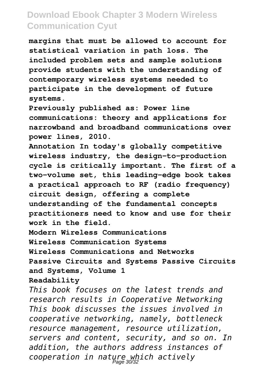**margins that must be allowed to account for statistical variation in path loss. The included problem sets and sample solutions provide students with the understanding of contemporary wireless systems needed to participate in the development of future systems.**

**Previously published as: Power line communications: theory and applications for narrowband and broadband communications over power lines, 2010.**

**Annotation In today's globally competitive wireless industry, the design-to-production cycle is critically important. The first of a two-volume set, this leading-edge book takes a practical approach to RF (radio frequency) circuit design, offering a complete understanding of the fundamental concepts practitioners need to know and use for their work in the field.**

**Modern Wireless Communications**

**Wireless Communication Systems**

**Wireless Communications and Networks**

**Passive Circuits and Systems Passive Circuits and Systems, Volume 1**

**Readability**

*This book focuses on the latest trends and research results in Cooperative Networking This book discusses the issues involved in cooperative networking, namely, bottleneck resource management, resource utilization, servers and content, security, and so on. In addition, the authors address instances of cooperation in nature which actively* Page 30/32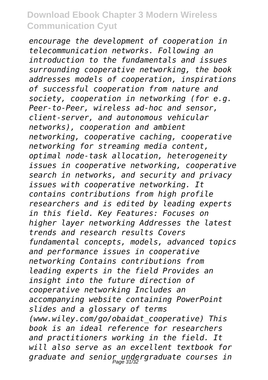*encourage the development of cooperation in telecommunication networks. Following an introduction to the fundamentals and issues surrounding cooperative networking, the book addresses models of cooperation, inspirations of successful cooperation from nature and society, cooperation in networking (for e.g. Peer-to-Peer, wireless ad-hoc and sensor, client-server, and autonomous vehicular networks), cooperation and ambient networking, cooperative caching, cooperative networking for streaming media content, optimal node-task allocation, heterogeneity issues in cooperative networking, cooperative search in networks, and security and privacy issues with cooperative networking. It contains contributions from high profile researchers and is edited by leading experts in this field. Key Features: Focuses on higher layer networking Addresses the latest trends and research results Covers fundamental concepts, models, advanced topics and performance issues in cooperative networking Contains contributions from leading experts in the field Provides an insight into the future direction of cooperative networking Includes an accompanying website containing PowerPoint slides and a glossary of terms (www.wiley.com/go/obaidat\_cooperative) This book is an ideal reference for researchers and practitioners working in the field. It will also serve as an excellent textbook for graduate and senior undergraduate courses in* Page 31/32